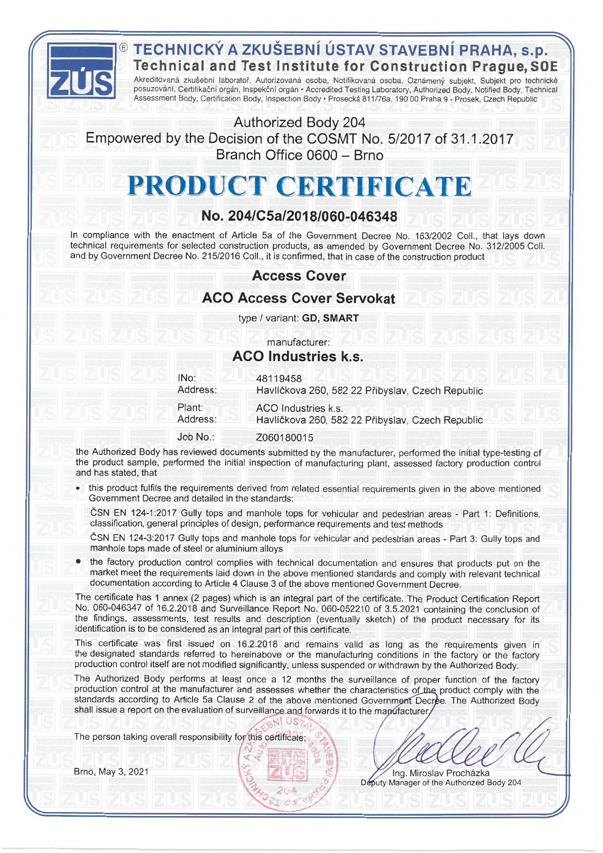

## TECHNICKÝ A ZKUŠEBNÍ ÚSTAV STAVEBNÍ PRAHA, s.p. **Technical and Test Institute for Construction Prague, SOE**

Akreditovaná zkušební laboratoř, Autorizovaná osoba, Notifikovaná osoba, Oznámený subjekt, Subjekt pro technické posuzování, Certifikační orgán, Inspekční orgán · Accredited Testing Laboratory, Authorized Body, Notified Body, Technical Assessment Body, Certification Body, Inspection Body · Prosecká 811/76a, 190 00 Praha 9 - Prosek, Czech Republic

Authorized Body 204 Empowered by the Decision of the COSMT No. 5/2017 of 31.1.2017 Branch Office 0600 - Brno

# PRODUCT CERTIFICATE

## No. 204/C5a/2018/060-046348

In compliance with the enactment of Article 5a of the Government Decree No. 163/2002 Coll., that lays down technical requirements for selected construction products, as amended by Government Decree No. 312/2005 Coll. and by Government Decree No. 215/2016 Coll., it is confirmed, that in case of the construction product

## **Access Cover**

## **ACO Access Cover Servokat**

type / variant: GD, SMART

### manufacturer: **ACO Industries k.s.**

| IN <sub>o</sub> : | 48119458                                         |
|-------------------|--------------------------------------------------|
| Address:          | Havlíčkova 260, 582 22 Přibyslav, Czech Republic |
| Plant:            | ACO Industries k.s.                              |
| Address:          | Havlíčkova 260, 582 22 Přibyslav, Czech Republic |
| Job No.:          | Z060180015                                       |

the Authorized Body has reviewed documents submitted by the manufacturer, performed the initial type-testing of the product sample, performed the initial inspection of manufacturing plant, assessed factory production control and has stated, that

this product fulfils the requirements derived from related essential requirements given in the above mentioned Government Decree and detailed in the standards:

ČSN EN 124-1:2017 Gully tops and manhole tops for vehicular and pedestrian areas - Part 1: Definitions, classification, general principles of design, performance requirements and test methods

ČSN EN 124-3:2017 Gully tops and manhole tops for vehicular and pedestrian areas - Part 3: Gully tops and manhole tops made of steel or aluminium alloys

the factory production control complies with technical documentation and ensures that products put on the market meet the requirements laid down in the above mentioned standards and comply with relevant technical documentation according to Article 4 Clause 3 of the above mentioned Government Decree.

The certificate has 1 annex (2 pages) which is an integral part of the certificate. The Product Certification Report No. 060-046347 of 16.2.2018 and Surveillance Report No. 060-052210 of 3.5.2021 containing the conclusion of the findings, assessments, test results and description (eventually sketch) of the product necessary for its identification is to be considered as an integral part of this certificate.

This certificate was first issued on 16.2.2018 and remains valid as long as the requirements given in the designated standards referred to hereinabove or the manufacturing conditions in the factory or the factory production control itself are not modified significantly, unless suspended or withdrawn by the Authorized Body.

The Authorized Body performs at least once a 12 months the surveillance of proper function of the factory production control at the manufacturer and assesses whether the characteristics of the product comply with the standards according to Article 5a Clause 2 of the above mentioned Government Decree. The Authorized Body shall issue a report on the evaluation of surveillance and forwards it to the mapufacturer

The person taking overall responsibility for this certificate:

Brno, May 3, 2021

Ing. Miroslav Procházka Deputy Manager of the Authorized Body 204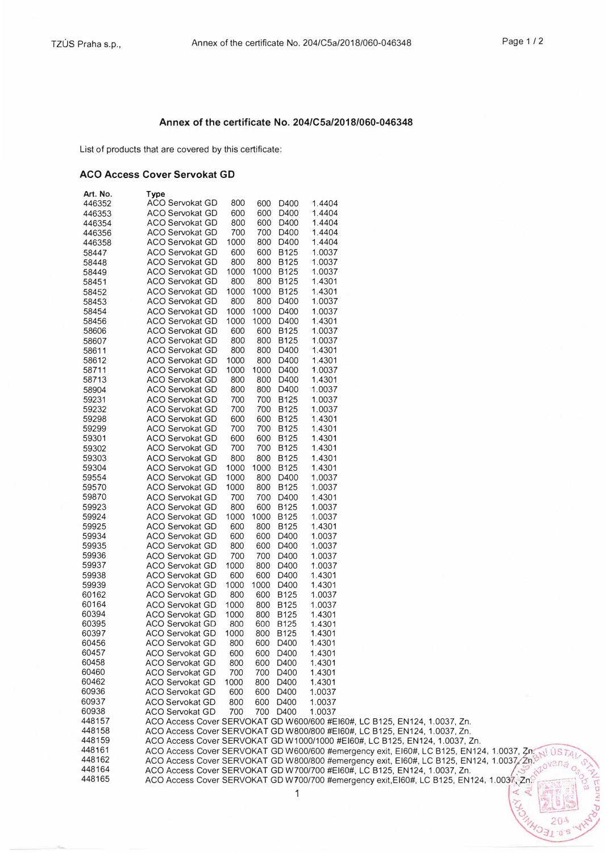$1 - 15 - 5$ 

#### **Annex of the certificate No. 204/CSa/2018/060-046348**

List of products that are covered by this certificate:

#### **ACO Access Cover Servokat GD**

| Art. No. | Type                                                                                      |      |             |        |  |  |  |
|----------|-------------------------------------------------------------------------------------------|------|-------------|--------|--|--|--|
| 446352   | <b>ACO Servokat GD</b><br>800                                                             | 600  | D400        | 1.4404 |  |  |  |
| 446353   | ACO Servokat GD<br>600                                                                    | 600  | D400        | 1.4404 |  |  |  |
| 446354   | <b>ACO Servokat GD</b><br>800                                                             | 600  | D400        | 1.4404 |  |  |  |
| 446356   | 700<br>ACO Servokat GD                                                                    | 700  | D400        | 1.4404 |  |  |  |
| 446358   | 1000<br><b>ACO Servokat GD</b>                                                            |      | 800 D400    | 1.4404 |  |  |  |
| 58447    | 600<br><b>ACO Servokat GD</b>                                                             |      | 600 B125    | 1.0037 |  |  |  |
| 58448    | 800<br>ACO Servokat GD                                                                    |      | 800 B125    | 1.0037 |  |  |  |
| 58449    | 1000<br>ACO Servokat GD                                                                   |      | 1000 B125   | 1.0037 |  |  |  |
| 58451    | 800<br>ACO Servokat GD                                                                    |      | 800 B125    | 1.4301 |  |  |  |
| 58452    | ACO Servokat GD<br>1000                                                                   | 1000 | <b>B125</b> | 1.4301 |  |  |  |
| 58453    | 800<br><b>ACO Servokat GD</b>                                                             |      | 800 D400    | 1.0037 |  |  |  |
|          | <b>ACO Servokat GD</b><br>1000                                                            | 1000 | D400        | 1.0037 |  |  |  |
| 58454    |                                                                                           |      |             |        |  |  |  |
| 58456    | <b>ACO Servokat GD</b><br>1000                                                            | 1000 | D400        | 1.4301 |  |  |  |
| 58606    | ACO Servokat GD<br>600                                                                    |      | 600 B125    | 1.0037 |  |  |  |
| 58607    | <b>ACO Servokat GD</b><br>800                                                             | 800  | <b>B125</b> | 1.0037 |  |  |  |
| 58611    | <b>ACO Servokat GD</b><br>800                                                             |      | 800 D400    | 1.4301 |  |  |  |
| 58612    | 1000<br>ACO Servokat GD                                                                   |      | 800 D400    | 1.4301 |  |  |  |
| 58711    | ACO Servokat GD<br>1000                                                                   |      | 1000 D400   | 1.0037 |  |  |  |
| 58713    | <b>ACO Servokat GD</b><br>800                                                             |      | 800 D400    | 1.4301 |  |  |  |
| 58904    | 800<br><b>ACO Servokat GD</b>                                                             |      | 800 D400    | 1.0037 |  |  |  |
| 59231    | ACO Servokat GD<br>700                                                                    |      | 700 B125    | 1.0037 |  |  |  |
| 59232    | 700<br>ACO Servokat GD                                                                    |      | 700 B125    | 1.0037 |  |  |  |
| 59298    | <b>ACO Servokat GD</b><br>600                                                             |      | 600 B125    | 1.4301 |  |  |  |
| 59299    | ACO Servokat GD<br>700                                                                    |      | 700 B125    | 1.4301 |  |  |  |
| 59301    | 600<br><b>ACO Servokat GD</b>                                                             |      | 600 B125    | 1.4301 |  |  |  |
| 59302    | 700<br><b>ACO Servokat GD</b>                                                             | 700  | <b>B125</b> | 1.4301 |  |  |  |
| 59303    | 800<br><b>ACO Servokat GD</b>                                                             |      | 800 B125    | 1.4301 |  |  |  |
| 59304    | <b>ACO Servokat GD</b><br>1000                                                            |      | 1000 B125   | 1.4301 |  |  |  |
| 59554    | <b>ACO Servokat GD</b><br>1000                                                            |      | 800 D400    | 1.0037 |  |  |  |
| 59570    | 1000<br><b>ACO Servokat GD</b>                                                            |      | 800 B125    | 1.0037 |  |  |  |
|          |                                                                                           |      |             |        |  |  |  |
| 59870    | <b>ACO Servokat GD</b><br>700                                                             | 700  | D400        | 1.4301 |  |  |  |
| 59923    | 800<br>ACO Servokat GD                                                                    |      | 600 B125    | 1.0037 |  |  |  |
| 59924    | <b>ACO Servokat GD</b><br>1000                                                            | 1000 | <b>B125</b> | 1.0037 |  |  |  |
| 59925    | 600<br><b>ACO Servokat GD</b>                                                             | 800  | <b>B125</b> | 1.4301 |  |  |  |
| 59934    | ACO Servokat GD<br>600                                                                    | 600  | D400        | 1.0037 |  |  |  |
| 59935    | 800<br>ACO Servokat GD                                                                    | 600  | D400        | 1.0037 |  |  |  |
| 59936    | ACO Servokat GD<br>700                                                                    | 700  | D400        | 1.0037 |  |  |  |
| 59937    | 1000<br>ACO Servokat GD                                                                   | 800  | D400        | 1.0037 |  |  |  |
| 59938    | 600<br>ACO Servokat GD                                                                    | 600  | D400        | 1.4301 |  |  |  |
| 59939    | <b>ACO Servokat GD</b><br>1000                                                            | 1000 | D400        | 1.4301 |  |  |  |
| 60162    | 800<br><b>ACO Servokat GD</b>                                                             |      | 600 B125    | 1.0037 |  |  |  |
| 60164    | <b>ACO Servokat GD</b><br>1000                                                            |      | 800 B125    | 1.0037 |  |  |  |
| 60394    | ACO Servokat GD<br>1000                                                                   | 800  | <b>B125</b> | 1.4301 |  |  |  |
| 60395    | <b>ACO Servokat GD</b><br>800                                                             |      | 600 B125    | 1.4301 |  |  |  |
| 60397    | 1000<br>ACO Servokat GD                                                                   |      | 800 B125    | 1.4301 |  |  |  |
| 60456    | <b>ACO Servokat GD</b><br>800                                                             |      | 600 D400    | 1.4301 |  |  |  |
| 60457    | <b>ACO Servokat GD</b><br>600                                                             | 600  | D400        | 1.4301 |  |  |  |
| 60458    | ACO Servokat GD<br>800                                                                    |      | 600 D400    | 1.4301 |  |  |  |
| 60460    | 700<br><b>ACO Servokat GD</b>                                                             |      | 700 D400    | 1.4301 |  |  |  |
| 60462    | 1000<br>ACO Servokat GD                                                                   |      | 800 D400    | 1.4301 |  |  |  |
| 60936    | <b>ACO Servokat GD</b><br>600                                                             |      | 600 D400    | 1.0037 |  |  |  |
| 60937    | 800<br><b>ACO Servokat GD</b>                                                             |      | 600 D400    | 1.0037 |  |  |  |
| 60938    | 700<br><b>ACO Servokat GD</b>                                                             |      | 700 D400    | 1.0037 |  |  |  |
|          |                                                                                           |      |             |        |  |  |  |
| 448157   | ACO Access Cover SERVOKAT GD W600/600 #E160#, LC B125, EN124, 1.0037, Zn.                 |      |             |        |  |  |  |
| 448158   | ACO Access Cover SERVOKAT GD W800/800 #E160#, LC B125, EN124, 1.0037, Zn.                 |      |             |        |  |  |  |
| 448159   | ACO Access Cover SERVOKAT GD W1000/1000 #E160#, LC B125, EN124, 1.0037, Zn.               |      |             |        |  |  |  |
| 448161   | ACO Access Cover SERVOKAT GD W600/600 #emergency exit, EI60#, LC B125, EN124, 1.0037, Zn. |      |             |        |  |  |  |
| 448162   | ACO Access Cover SERVOKAT GD W800/800 #emergency exit, EI60#, LC B125, EN124, 1.0037, 2n. |      |             |        |  |  |  |
| 448164   | ACO Access Cover SERVOKAT GD W700/700 #EI60#, LC B125, EN124, 1.0037, Zn.                 |      |             |        |  |  |  |
| 448165   | ACO Access Cover SERVOKAT GD W700/700 #emergency exit, EI60#, LC B125, EN124, 1.0037, Zn. |      |             |        |  |  |  |
|          |                                                                                           |      | 1           |        |  |  |  |
|          |                                                                                           |      |             |        |  |  |  |